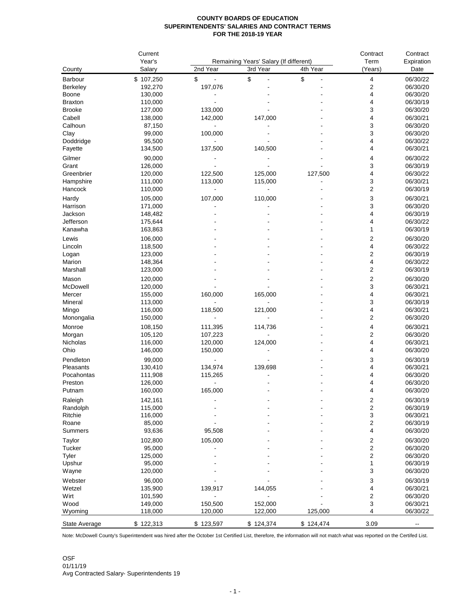## **COUNTY BOARDS OF EDUCATION SUPERINTENDENTS' SALARIES AND CONTRACT TERMS FOR THE 2018-19 YEAR**

|                 | Current<br>Year's<br>Salary |                     | Remaining Years' Salary (If different) | Contract<br>Term | Contract<br>Expiration |                      |
|-----------------|-----------------------------|---------------------|----------------------------------------|------------------|------------------------|----------------------|
| County          |                             | 2nd Year            | 3rd Year                               | 4th Year         | (Years)                | Date                 |
| <b>Barbour</b>  | \$107,250                   | \$<br>$\frac{1}{2}$ | \$<br>$\overline{a}$                   | \$               | 4                      | 06/30/22             |
| <b>Berkeley</b> | 192,270                     | 197,076             |                                        |                  | 2                      | 06/30/20             |
| Boone           | 130,000                     |                     |                                        |                  | 4                      | 06/30/20             |
| <b>Braxton</b>  | 110,000                     |                     |                                        |                  | 4                      | 06/30/19             |
| <b>Brooke</b>   | 127,000                     | 133,000             |                                        |                  | 3                      | 06/30/20             |
| Cabell          | 138,000                     | 142,000             | 147,000                                |                  | 4                      | 06/30/21             |
| Calhoun         | 87,150                      |                     |                                        |                  | 3                      | 06/30/20             |
| Clay            | 99,000                      | 100,000             |                                        |                  | 3                      | 06/30/20             |
| Doddridge       | 95,500                      |                     |                                        |                  | 4                      | 06/30/22             |
| Fayette         | 134,500                     | 137,500             | 140,500                                |                  | 4                      | 06/30/21             |
| Gilmer          | 90,000                      |                     |                                        |                  | 4                      | 06/30/22             |
| Grant           | 126,000                     |                     |                                        |                  | 3                      | 06/30/19             |
| Greenbrier      | 120,000                     | 122,500             | 125,000                                | 127,500          | 4                      | 06/30/22             |
| Hampshire       | 111,000                     | 113,000             | 115,000                                |                  | 3                      | 06/30/21             |
| Hancock         | 110,000                     |                     |                                        |                  | 2                      | 06/30/19             |
| Hardy           | 105,000                     | 107,000             | 110,000                                |                  | 3                      | 06/30/21             |
| Harrison        | 171,000                     |                     |                                        |                  | 3                      | 06/30/20             |
| Jackson         | 148,482                     |                     |                                        |                  | 4                      | 06/30/19             |
| Jefferson       | 175,644                     |                     |                                        |                  | 4                      | 06/30/22             |
| Kanawha         | 163,863                     |                     |                                        |                  | 1                      | 06/30/19             |
| Lewis           | 106,000                     |                     |                                        |                  | 2                      | 06/30/20             |
| Lincoln         | 118,500                     |                     |                                        |                  | 4                      | 06/30/22             |
| Logan           | 123,000                     |                     |                                        |                  | 2                      | 06/30/19             |
| Marion          | 148,364                     |                     |                                        |                  | 4                      | 06/30/22             |
| Marshall        | 123,000                     |                     |                                        |                  | 2                      | 06/30/19             |
|                 |                             |                     |                                        |                  |                        |                      |
| Mason           | 120,000                     |                     |                                        |                  | 2                      | 06/30/20             |
| McDowell        | 120,000                     |                     |                                        |                  | 3                      | 06/30/21             |
| Mercer          | 155,000                     | 160,000             | 165,000                                |                  | 4                      | 06/30/21             |
| Mineral         | 113,000<br>116,000          | 118,500             | 121,000                                |                  | 3<br>4                 | 06/30/19<br>06/30/21 |
| Mingo           |                             |                     |                                        |                  | 2                      |                      |
| Monongalia      | 150,000                     |                     |                                        |                  |                        | 06/30/20             |
| Monroe          | 108,150                     | 111,395             | 114,736                                |                  | 4                      | 06/30/21             |
| Morgan          | 105,120                     | 107,223             |                                        |                  | 2                      | 06/30/20             |
| Nicholas        | 116,000                     | 120,000             | 124,000                                |                  | 4                      | 06/30/21             |
| Ohio            | 146,000                     | 150,000             |                                        |                  | 4                      | 06/30/20             |
| Pendleton       | 99,000                      |                     |                                        |                  | 3                      | 06/30/19             |
| Pleasants       | 130,410                     | 134,974             | 139,698                                |                  | 4                      | 06/30/21             |
| Pocahontas      | 111,908                     | 115,265             |                                        |                  | 4                      | 06/30/20             |
| Preston         | 126,000                     |                     |                                        |                  | 4                      | 06/30/20             |
| Putnam          | 160,000                     | 165,000             |                                        |                  | 4                      | 06/30/20             |
| Raleigh         | 142,161                     |                     |                                        |                  | 2                      | 06/30/19             |
| Randolph        | 115,000                     |                     |                                        |                  | 2                      | 06/30/19             |
| Ritchie         | 116,000                     |                     |                                        |                  | 3                      | 06/30/21             |
| Roane           | 85,000                      |                     |                                        |                  | 2                      | 06/30/19             |
| Summers         | 93,636                      | 95,508              |                                        |                  | 4                      | 06/30/20             |
| Taylor          | 102,800                     | 105,000             |                                        |                  | 2                      | 06/30/20             |
| Tucker          | 95,000                      |                     |                                        |                  | 2                      | 06/30/20             |
| Tyler           | 125,000                     |                     |                                        |                  | 2                      | 06/30/20             |
| Upshur          | 95,000                      |                     |                                        |                  | 1                      | 06/30/19             |
| Wayne           | 120,000                     |                     |                                        |                  | 3                      | 06/30/20             |
| Webster         | 96,000                      |                     |                                        |                  | 3                      | 06/30/19             |
| Wetzel          | 135,900                     | 139,917             | 144,055                                |                  | 4                      | 06/30/21             |
| Wirt            | 101,590                     |                     |                                        |                  | 2                      | 06/30/20             |
| Wood            | 149,000                     | 150,500             | 152,000                                |                  | 3                      | 06/30/21             |
| Wyoming         | 118,000                     | 120,000             | 122,000                                | 125,000          | 4                      | 06/30/22             |
| State Average   | \$122,313                   | \$123,597           | \$124,374                              | \$124,474        | 3.09                   | --                   |

Note: McDowell County's Superintendent was hired after the October 1st Certified List, therefore, the information will not match what was reported on the Certifed List.